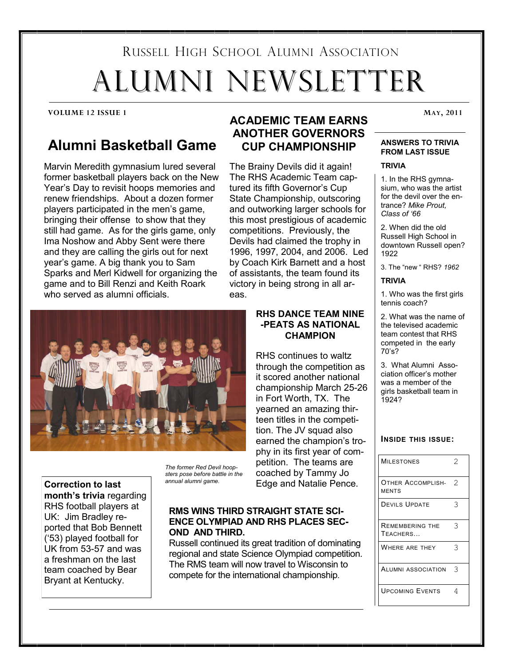# RUSSELL HIGH SCHOOL ALUMNI ASSOCIATION ALUMNI NEWSLETTER

#### **VOLUME 12 ISSUE 1 MAY, 2011**

# **Alumni Basketball Game**

Marvin Meredith gymnasium lured several former basketball players back on the New Year"s Day to revisit hoops memories and renew friendships. About a dozen former players participated in the men"s game, bringing their offense to show that they still had game. As for the girls game, only Ima Noshow and Abby Sent were there and they are calling the girls out for next year"s game. A big thank you to Sam Sparks and Merl Kidwell for organizing the game and to Bill Renzi and Keith Roark who served as alumni officials.



**Correction to last month's trivia** regarding RHS football players at UK: Jim Bradley reported that Bob Bennett ("53) played football for UK from 53-57 and was a freshman on the last team coached by Bear Bryant at Kentucky.

*The former Red Devil hoopsters pose before battle in the annual alumni game.* 

#### **RMS WINS THIRD STRAIGHT STATE SCI-ENCE OLYMPIAD AND RHS PLACES SEC-OND AND THIRD.**

Russell continued its great tradition of dominating regional and state Science Olympiad competition. The RMS team will now travel to Wisconsin to compete for the international championship.

# **ACADEMIC TEAM EARNS ANOTHER GOVERNORS CUP CHAMPIONSHIP**

The Brainy Devils did it again! The RHS Academic Team captured its fifth Governor's Cup State Championship, outscoring and outworking larger schools for this most prestigious of academic competitions. Previously, the Devils had claimed the trophy in 1996, 1997, 2004, and 2006. Led by Coach Kirk Barnett and a host of assistants, the team found its victory in being strong in all areas.

## **RHS DANCE TEAM NINE -PEATS AS NATIONAL CHAMPION**

RHS continues to waltz through the competition as it scored another national championship March 25-26 in Fort Worth, TX. The yearned an amazing thirteen titles in the competition. The JV squad also earned the champion's trophy in its first year of competition. The teams are coached by Tammy Jo Edge and Natalie Pence.

#### **ANSWERS TO TRIVIA FROM LAST ISSUE**

#### **TRIVIA**

1. In the RHS gymnasium, who was the artist for the devil over the entrance? *Mike Prout, Class of '66*

2. When did the old Russell High School in downtown Russell open? 1922

3. The "new " RHS? *1962*

#### **TRIVIA**

1. Who was the first girls tennis coach?

2. What was the name of the televised academic team contest that RHS competed in the early 70"s?

3. What Alumni Association officer"s mother was a member of the girls basketball team in 1924?

#### **INSIDE THIS ISSUE:**

| <b>MILESTONES</b>                  | 2 |
|------------------------------------|---|
| OTHER ACCOMPLISH-<br><b>MENTS</b>  | 2 |
| <b>DEVILS UPDATE</b>               | २ |
| <b>REMEMBERING THE</b><br>TEACHERS | 3 |
| WHERE ARE THEY                     | ς |
| <b>ALUMNI ASSOCIATION</b>          | З |
| <b>UPCOMING EVENTS</b>             |   |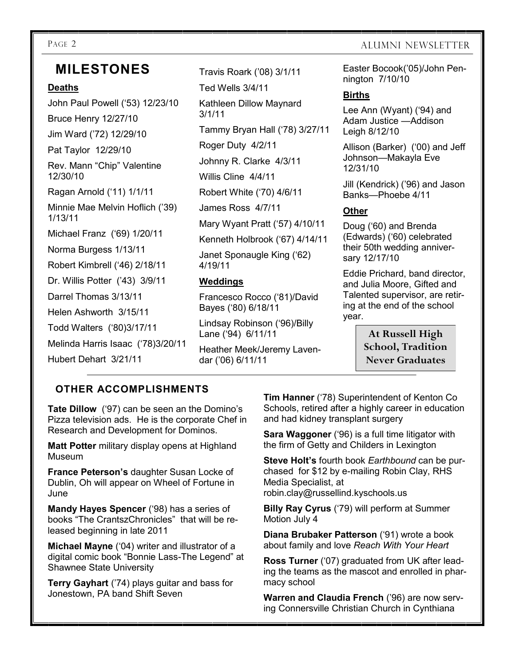# **MILESTONES**

### **Deaths**

John Paul Powell ("53) 12/23/10 Bruce Henry 12/27/10 Jim Ward ("72) 12/29/10 Pat Taylor 12/29/10 Rev. Mann "Chip" Valentine 12/30/10 Ragan Arnold ("11) 1/1/11 Minnie Mae Melvin Hoflich ("39) 1/13/11 Michael Franz ("69) 1/20/11 Norma Burgess 1/13/11 Robert Kimbrell ("46) 2/18/11 Dr. Willis Potter ("43) 3/9/11 Darrel Thomas 3/13/11 Helen Ashworth 3/15/11 Todd Walters ("80)3/17/11 Melinda Harris Isaac ("78)3/20/11 Hubert Dehart 3/21/11

Travis Roark ("08) 3/1/11 Ted Wells 3/4/11 Kathleen Dillow Maynard 3/1/11 Tammy Bryan Hall ("78) 3/27/11 Roger Duty 4/2/11 Johnny R. Clarke 4/3/11 Willis Cline 4/4/11 Robert White ("70) 4/6/11 James Ross 4/7/11 Mary Wyant Pratt ("57) 4/10/11 Kenneth Holbrook ("67) 4/14/11 Janet Sponaugle King ("62) 4/19/11

# **Weddings**

Francesco Rocco ("81)/David Bayes ("80) 6/18/11

Lindsay Robinson ("96)/Billy Lane ("94) 6/11/11

Heather Meek/Jeremy Lavendar ("06) 6/11/11

# PAGE 2 ALUMNI NEWSLETTER

Easter Bocook("05)/John Pennington 7/10/10

# **Births**

Lee Ann (Wyant) ('94) and Adam Justice —Addison Leigh 8/12/10

Allison (Barker) ('00) and Jeff Johnson—Makayla Eve 12/31/10

Jill (Kendrick) ("96) and Jason Banks—Phoebe 4/11

# **Other**

Doug ("60) and Brenda (Edwards) ("60) celebrated their 50th wedding anniversary 12/17/10

Eddie Prichard, band director, and Julia Moore, Gifted and Talented supervisor, are retiring at the end of the school year.

> **At Russell High School, Tradition Never Graduates**

# **OTHER ACCOMPLISHMENTS**

**Tate Dillow** ('97) can be seen an the Domino's Pizza television ads. He is the corporate Chef in Research and Development for Dominos.

**Matt Potter** military display opens at Highland Museum

**France Peterson's** daughter Susan Locke of Dublin, Oh will appear on Wheel of Fortune in June

**Mandy Hayes Spencer** ('98) has a series of books "The CrantszChronicles" that will be released beginning in late 2011

**Michael Mayne** ("04) writer and illustrator of a digital comic book "Bonnie Lass-The Legend" at Shawnee State University

**Terry Gayhart** ("74) plays guitar and bass for Jonestown, PA band Shift Seven

**Tim Hanner** ('78) Superintendent of Kenton Co Schools, retired after a highly career in education and had kidney transplant surgery

**Sara Waggoner** ('96) is a full time litigator with the firm of Getty and Childers in Lexington

**Steve Holt's** fourth book *Earthbound* can be purchased for \$12 by e-mailing Robin Clay, RHS Media Specialist, at robin.clay@russellind.kyschools.us

**Billy Ray Cyrus** ("79) will perform at Summer Motion July 4

**Diana Brubaker Patterson** ("91) wrote a book about family and love *Reach With Your Heart*

**Ross Turner** ("07) graduated from UK after leading the teams as the mascot and enrolled in pharmacy school

**Warren and Claudia French** ("96) are now serving Connersville Christian Church in Cynthiana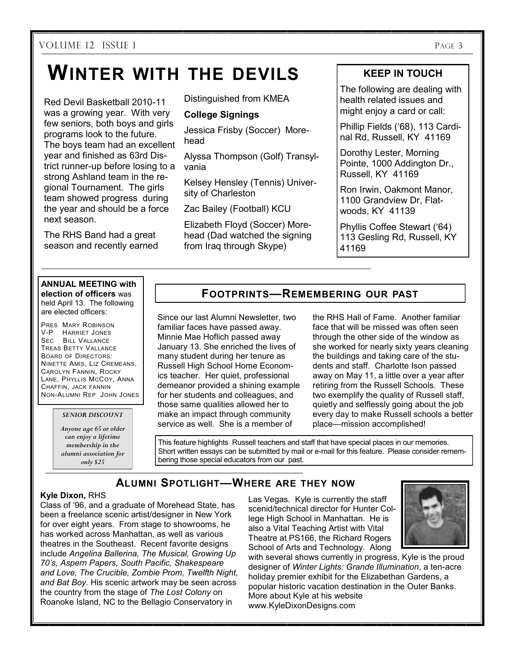# **WINTER WITH THE DEVILS**

Red Devil Basketball 2010-11 was a growing year. With very few seniors, both boys and girls programs look to the future. The boys team had an excellent year and finished as 63rd District runner-up before losing to a strong Ashland team in the regional Tournament. The girls team showed progress during the year and should be a force next season.

The RHS Band had a great season and recently earned Distinguished from KMEA

# **College Signings**

Jessica Frisby (Soccer) Morehead

Alyssa Thompson (Golf) Transylvania

Kelsey Hensley (Tennis) University of Charleston

Zac Bailey (Football) KCU

Elizabeth Floyd (Soccer) Morehead (Dad watched the signing from Iraq through Skype)

# **KEEP IN TOUCH**

The following are dealing with health related issues and might enjoy a card or call:

Phillip Fields ("68), 113 Cardinal Rd, Russell, KY 41169

Dorothy Lester, Morning Pointe, 1000 Addington Dr., Russell, KY 41169

Ron Irwin, Oakmont Manor, 1100 Grandview Dr, Flatwoods, KY 41139

Phyllis Coffee Stewart ("64) 113 Gesling Rd, Russell, KY 41169

#### **ANNUAL MEETING with election of officers** was

held April 13. The following are elected officers:

PRES MARY ROBINSON V-P HARRIET JONES SEC BILL VALLANCE TREAS BETTY VALLANCE BOARD OF DIRECTORS: NINETTE AMIS, LIZ CREMEANS, CAROLYN FANNIN, ROCKY LANE, PHYLLIS MCCOY, ANNA CHAFFIN, JACK FANNIN NON-ALUMNI REP JOHN JONES

*SENIOR DISCOUNT*

*Anyone age 65 or older can enjoy a lifetime membership in the alumni association for only \$25*

# **FOOTPRINTS—REMEMBERING OUR PAST**

Since our last Alumni Newsletter, two familiar faces have passed away. Minnie Mae Hoflich passed away January 13. She enriched the lives of many student during her tenure as Russell High School Home Economics teacher. Her quiet, professional demeanor provided a shining example for her students and colleagues, and those same qualities allowed her to make an impact through community service as well. She is a member of

the RHS Hall of Fame. Another familiar face that will be missed was often seen through the other side of the window as she worked for nearly sixty years cleaning the buildings and taking care of the students and staff. Charlotte Ison passed away on May 11, a little over a year after retiring from the Russell Schools. These two exemplify the quality of Russell staff, quietly and selflessly going about the job every day to make Russell schools a better place—mission accomplished!

This feature highlights Russell teachers and staff that have special places in our memories. Short written essays can be submitted by mail or e-mail for this feature. Please consider remembering those special educators from our past.

# **ALUMNI SPOTLIGHT—WHERE ARE THEY NOW**

## **Kyle Dixon,** RHS

Class of "96, and a graduate of Morehead State, has been a freelance scenic artist/designer in New York for over eight years. From stage to showrooms, he has worked across Manhattan, as well as various theatres in the Southeast. Recent favorite designs include *Angelina Ballerina, The Musical, Growing Up 70's, Aspern Papers, South Pacific, Shakespeare and Love, The Crucible, Zombie Prom, Twelfth Night, and Bat Boy.* His scenic artwork may be seen across the country from the stage of *The Lost Colony* on Roanoke Island, NC to the Bellagio Conservatory in

Las Vegas. Kyle is currently the staff scenid/technical director for Hunter College High School in Manhattan. He is also a Vital Teaching Artist with Vital Theatre at PS166, the Richard Rogers School of Arts and Technology. Along



with several shows currently in progress, Kyle is the proud designer of *Winter Lights: Grande Illumination*, a ten-acre holiday premier exhibit for the Elizabethan Gardens, a popular historic vacation destination in the Outer Banks. More about Kyle at his website www.KyleDixonDesigns.com.